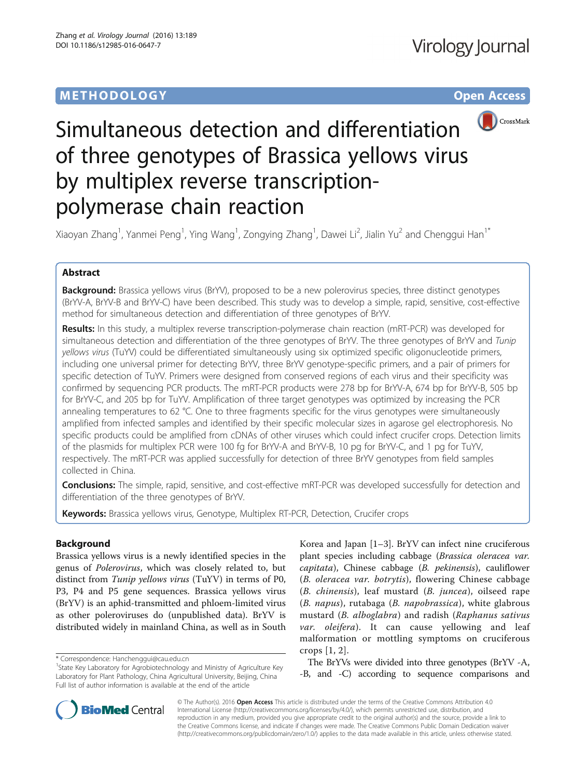# **METHODOLOGY CONSUMING ACCESS**



# Simultaneous detection and differentiation of three genotypes of Brassica yellows virus by multiplex reverse transcriptionpolymerase chain reaction

Xiaoyan Zhang<sup>1</sup>, Yanmei Peng<sup>1</sup>, Ying Wang<sup>1</sup>, Zongying Zhang<sup>1</sup>, Dawei Li<sup>2</sup>, Jialin Yu<sup>2</sup> and Chenggui Han<sup>1\*</sup>

# Abstract

Background: Brassica yellows virus (BrYV), proposed to be a new polerovirus species, three distinct genotypes (BrYV-A, BrYV-B and BrYV-C) have been described. This study was to develop a simple, rapid, sensitive, cost-effective method for simultaneous detection and differentiation of three genotypes of BrYV.

Results: In this study, a multiplex reverse transcription-polymerase chain reaction (mRT-PCR) was developed for simultaneous detection and differentiation of the three genotypes of BrYV. The three genotypes of BrYV and Tunip yellows virus (TuYV) could be differentiated simultaneously using six optimized specific oligonucleotide primers, including one universal primer for detecting BrYV, three BrYV genotype-specific primers, and a pair of primers for specific detection of TuYV. Primers were designed from conserved regions of each virus and their specificity was confirmed by sequencing PCR products. The mRT-PCR products were 278 bp for BrYV-A, 674 bp for BrYV-B, 505 bp for BrYV-C, and 205 bp for TuYV. Amplification of three target genotypes was optimized by increasing the PCR annealing temperatures to 62 °C. One to three fragments specific for the virus genotypes were simultaneously amplified from infected samples and identified by their specific molecular sizes in agarose gel electrophoresis. No specific products could be amplified from cDNAs of other viruses which could infect crucifer crops. Detection limits of the plasmids for multiplex PCR were 100 fg for BrYV-A and BrYV-B, 10 pg for BrYV-C, and 1 pg for TuYV, respectively. The mRT-PCR was applied successfully for detection of three BrYV genotypes from field samples collected in China.

**Conclusions:** The simple, rapid, sensitive, and cost-effective mRT-PCR was developed successfully for detection and differentiation of the three genotypes of BrYV.

**Keywords:** Brassica yellows virus, Genotype, Multiplex RT-PCR, Detection, Crucifer crops

# Background

Brassica yellows virus is a newly identified species in the genus of Polerovirus, which was closely related to, but distinct from Tunip yellows virus (TuYV) in terms of P0, P3, P4 and P5 gene sequences. Brassica yellows virus (BrYV) is an aphid-transmitted and phloem-limited virus as other poleroviruses do (unpublished data). BrYV is distributed widely in mainland China, as well as in South

Korea and Japan [\[1](#page-5-0)–[3\]](#page-5-0). BrYV can infect nine cruciferous plant species including cabbage (Brassica oleracea var. capitata), Chinese cabbage (B. pekinensis), cauliflower (B. oleracea var. botrytis), flowering Chinese cabbage  $(B. \; \text{chinensis})$ , leaf mustard  $(B. \; \text{juncea})$ , oilseed rape  $(B. napus)$ , rutabaga  $(B. napobrasica)$ , white glabrous mustard (B. alboglabra) and radish (Raphanus sativus var. oleifera). It can cause yellowing and leaf malformation or mottling symptoms on cruciferous crops [[1](#page-5-0), [2](#page-5-0)].

The BrYVs were divided into three genotypes (BrYV -A, -B, and -C) according to sequence comparisons and



© The Author(s). 2016 Open Access This article is distributed under the terms of the Creative Commons Attribution 4.0 International License [\(http://creativecommons.org/licenses/by/4.0/](http://creativecommons.org/licenses/by/4.0/)), which permits unrestricted use, distribution, and reproduction in any medium, provided you give appropriate credit to the original author(s) and the source, provide a link to the Creative Commons license, and indicate if changes were made. The Creative Commons Public Domain Dedication waiver [\(http://creativecommons.org/publicdomain/zero/1.0/](http://creativecommons.org/publicdomain/zero/1.0/)) applies to the data made available in this article, unless otherwise stated.

<sup>\*</sup> Correspondence: [Hanchenggui@cau.edu.cn](mailto:Hanchenggui@cau.edu.cn) <sup>1</sup>

<sup>&</sup>lt;sup>1</sup>State Key Laboratory for Agrobiotechnology and Ministry of Agriculture Key Laboratory for Plant Pathology, China Agricultural University, Beijing, China Full list of author information is available at the end of the article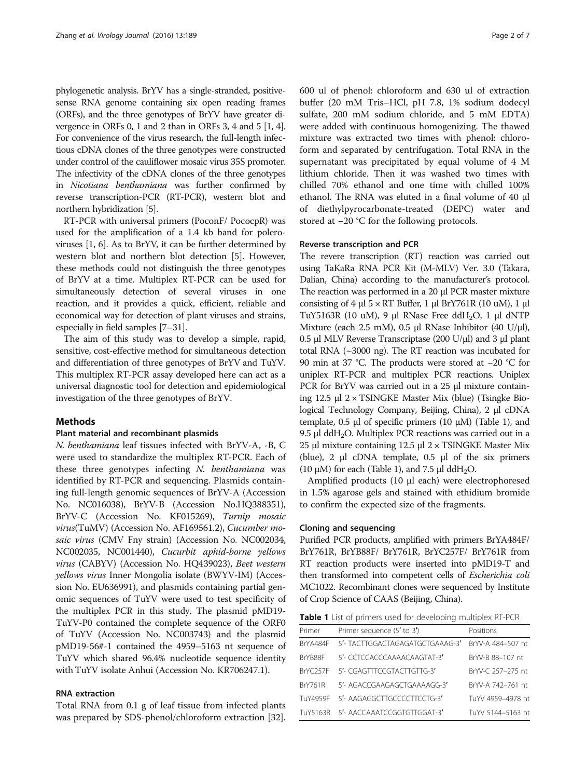<span id="page-1-0"></span>phylogenetic analysis. BrYV has a single-stranded, positivesense RNA genome containing six open reading frames (ORFs), and the three genotypes of BrYV have greater divergence in ORFs 0, 1 and 2 than in ORFs 3, 4 and 5 [\[1,](#page-5-0) [4](#page-6-0)]. For convenience of the virus research, the full-length infectious cDNA clones of the three genotypes were constructed under control of the cauliflower mosaic virus 35S promoter. The infectivity of the cDNA clones of the three genotypes in Nicotiana benthamiana was further confirmed by reverse transcription-PCR (RT-PCR), western blot and northern hybridization [\[5\]](#page-6-0).

RT-PCR with universal primers (PoconF/ PococpR) was used for the amplification of a 1.4 kb band for poleroviruses [\[1](#page-5-0), [6\]](#page-6-0). As to BrYV, it can be further determined by western blot and northern blot detection [\[5](#page-6-0)]. However, these methods could not distinguish the three genotypes of BrYV at a time. Multiplex RT-PCR can be used for simultaneously detection of several viruses in one reaction, and it provides a quick, efficient, reliable and economical way for detection of plant viruses and strains, especially in field samples [[7](#page-6-0)–[31](#page-6-0)].

The aim of this study was to develop a simple, rapid, sensitive, cost-effective method for simultaneous detection and differentiation of three genotypes of BrYV and TuYV. This multiplex RT-PCR assay developed here can act as a universal diagnostic tool for detection and epidemiological investigation of the three genotypes of BrYV.

# Methods

#### Plant material and recombinant plasmids

N. benthamiana leaf tissues infected with BrYV-A, -B, C were used to standardize the multiplex RT-PCR. Each of these three genotypes infecting  $N$ . benthamiana was identified by RT-PCR and sequencing. Plasmids containing full-length genomic sequences of BrYV-A (Accession No. NC016038), BrYV-B (Accession No.HQ388351), BrYV-C (Accession No. KF015269), Turnip mosaic virus(TuMV) (Accession No. AF169561.2), Cucumber mosaic virus (CMV Fny strain) (Accession No. NC002034, NC002035, NC001440), Cucurbit aphid-borne yellows virus (CABYV) (Accession No. HQ439023), Beet western yellows virus Inner Mongolia isolate (BWYV-IM) (Accession No. EU636991), and plasmids containing partial genomic sequences of TuYV were used to test specificity of the multiplex PCR in this study. The plasmid pMD19- TuYV-P0 contained the complete sequence of the ORF0 of TuYV (Accession No. NC003743) and the plasmid pMD19-56#-1 contained the 4959–5163 nt sequence of TuYV which shared 96.4% nucleotide sequence identity with TuYV isolate Anhui (Accession No. KR706247.1).

# RNA extraction

Total RNA from 0.1 g of leaf tissue from infected plants was prepared by SDS-phenol/chloroform extraction [\[32](#page-6-0)]. 600 ul of phenol: chloroform and 630 ul of extraction buffer (20 mM Tris–HCl, pH 7.8, 1% sodium dodecyl sulfate, 200 mM sodium chloride, and 5 mM EDTA) were added with continuous homogenizing. The thawed mixture was extracted two times with phenol: chloroform and separated by centrifugation. Total RNA in the supernatant was precipitated by equal volume of 4 M lithium chloride. Then it was washed two times with chilled 70% ethanol and one time with chilled 100% ethanol. The RNA was eluted in a final volume of 40 μl of diethylpyrocarbonate-treated (DEPC) water and stored at −20 °C for the following protocols.

#### Reverse transcription and PCR

The revere transcription (RT) reaction was carried out using TaKaRa RNA PCR Kit (M-MLV) Ver. 3.0 (Takara, Dalian, China) according to the manufacturer's protocol. The reaction was performed in a 20 μl PCR master mixture consisting of  $4 \mu 5 \times RT$  Buffer, 1  $\mu$ l BrY761R (10 uM), 1  $\mu$ l TuY5163R (10 uM), 9 μl RNase Free ddH<sub>2</sub>O, 1 μl dNTP Mixture (each 2.5 mM), 0.5 μl RNase Inhibitor (40 U/μl), 0.5 μl MLV Reverse Transcriptase (200 U/μl) and 3 μl plant total RNA (~3000 ng). The RT reaction was incubated for 90 min at 37 °C. The products were stored at −20 °C for uniplex RT-PCR and multiplex PCR reactions. Uniplex PCR for BrYV was carried out in a 25 μl mixture containing 12.5 μl  $2 \times$  TSINGKE Master Mix (blue) (Tsingke Biological Technology Company, Beijing, China), 2 μl cDNA template,  $0.5$  μl of specific primers (10 μM) (Table 1), and 9.5 μl ddH<sub>2</sub>O. Multiplex PCR reactions was carried out in a 25 μl mixture containing 12.5 μl 2 × TSINGKE Master Mix (blue), 2 μl cDNA template,  $0.5$  μl of the six primers (10  $\mu$ M) for each (Table 1), and 7.5  $\mu$ l ddH<sub>2</sub>O.

Amplified products (10 μl each) were electrophoresed in 1.5% agarose gels and stained with ethidium bromide to confirm the expected size of the fragments.

#### Cloning and sequencing

Purified PCR products, amplified with primers BrYA484F/ BrY761R, BrYB88F/ BrY761R, BrYC257F/ BrY761R from RT reaction products were inserted into pMD19-T and then transformed into competent cells of Escherichia coli MC1022. Recombinant clones were sequenced by Institute of Crop Science of CAAS (Beijing, China).

|  |  | Table 1 List of primers used for developing multiplex RT-PCR |
|--|--|--------------------------------------------------------------|
|  |  |                                                              |

| Primer               | Primer sequence (5' to 3')           | Positions         |
|----------------------|--------------------------------------|-------------------|
| BrYA484F             | 5'- TACTTGGACTAGAGATGCTGAAAG-3'      | BrYV-A 484-507 nt |
| BrYB88F              | 5'- CCTCCACCCAAAACAAGTAT-3'          | BrYV-B 88-107 nt  |
| BrYC <sub>257F</sub> | 5'- CGAGTTTCCGTACTTGTTG-3'           | BrYV-C 257-275 nt |
| <b>BrY761R</b>       | 5'- AGACCGAAGAGCTGAAAAGG-3'          | BrYV-A 742-761 nt |
| TuY4959F             | 5'- AAGAGGCTTGCCCCTTCCTG-3'          | TuYV 4959-4978 nt |
|                      | TuY5163R 5'- AACCAAATCCGGTGTTGGAT-3' | TuYV 5144-5163 nt |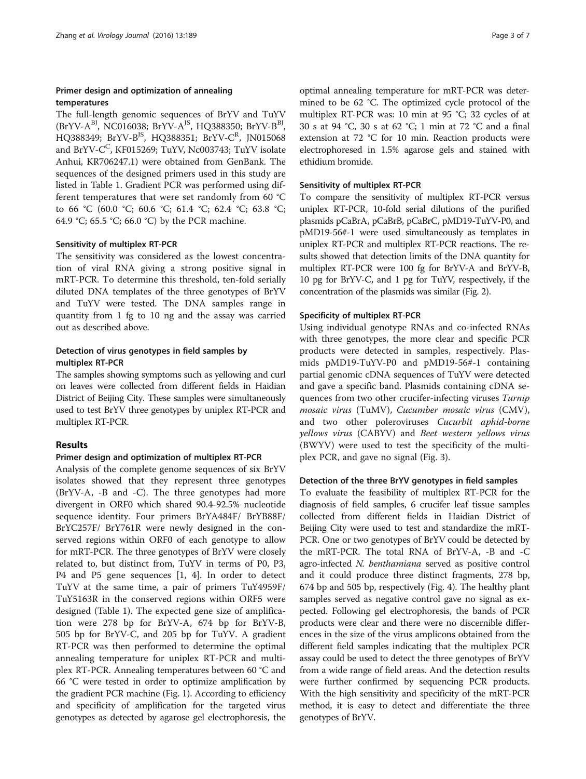# Primer design and optimization of annealing temperatures

The full-length genomic sequences of BrYV and TuYV  $(BrYV-A^{BJ}$ , NC016038; BrYV-A<sup>JS</sup>, HQ388350; BrYV-B<sup>BJ</sup>, HQ388349; BrYV-B<sup>JS</sup>, HQ388351; BrYV-C<sup>R</sup>, JN015068 and BrYV-C<sup>C</sup>, KF015269; TuYV, Nc003743; TuYV isolate Anhui, KR706247.1) were obtained from GenBank. The sequences of the designed primers used in this study are listed in Table [1](#page-1-0). Gradient PCR was performed using different temperatures that were set randomly from 60 °C to 66 °C (60.0 °C; 60.6 °C; 61.4 °C; 62.4 °C; 63.8 °C; 64.9 °C; 65.5 °C; 66.0 °C) by the PCR machine.

#### Sensitivity of multiplex RT-PCR

The sensitivity was considered as the lowest concentration of viral RNA giving a strong positive signal in mRT-PCR. To determine this threshold, ten-fold serially diluted DNA templates of the three genotypes of BrYV and TuYV were tested. The DNA samples range in quantity from 1 fg to 10 ng and the assay was carried out as described above.

# Detection of virus genotypes in field samples by multiplex RT-PCR

The samples showing symptoms such as yellowing and curl on leaves were collected from different fields in Haidian District of Beijing City. These samples were simultaneously used to test BrYV three genotypes by uniplex RT-PCR and multiplex RT-PCR.

# Results

# Primer design and optimization of multiplex RT-PCR

Analysis of the complete genome sequences of six BrYV isolates showed that they represent three genotypes (BrYV-A, -B and -C). The three genotypes had more divergent in ORF0 which shared 90.4-92.5% nucleotide sequence identity. Four primers BrYA484F/ BrYB88F/ BrYC257F/ BrY761R were newly designed in the conserved regions within ORF0 of each genotype to allow for mRT-PCR. The three genotypes of BrYV were closely related to, but distinct from, TuYV in terms of P0, P3, P4 and P5 gene sequences [[1](#page-5-0), [4\]](#page-6-0). In order to detect TuYV at the same time, a pair of primers TuY4959F/ TuY5163R in the conserved regions within ORF5 were designed (Table [1\)](#page-1-0). The expected gene size of amplification were 278 bp for BrYV-A, 674 bp for BrYV-B, 505 bp for BrYV-C, and 205 bp for TuYV. A gradient RT-PCR was then performed to determine the optimal annealing temperature for uniplex RT-PCR and multiplex RT-PCR. Annealing temperatures between 60 °C and 66 °C were tested in order to optimize amplification by the gradient PCR machine (Fig. [1](#page-3-0)). According to efficiency and specificity of amplification for the targeted virus genotypes as detected by agarose gel electrophoresis, the

optimal annealing temperature for mRT-PCR was determined to be 62 °C. The optimized cycle protocol of the multiplex RT-PCR was: 10 min at 95 °C; 32 cycles of at 30 s at 94 °C, 30 s at 62 °C; 1 min at 72 °C and a final extension at 72 °C for 10 min. Reaction products were electrophoresed in 1.5% agarose gels and stained with ethidium bromide.

#### Sensitivity of multiplex RT-PCR

To compare the sensitivity of multiplex RT-PCR versus uniplex RT-PCR, 10-fold serial dilutions of the purified plasmids pCaBrA, pCaBrB, pCaBrC, pMD19-TuYV-P0, and pMD19-56#-1 were used simultaneously as templates in uniplex RT-PCR and multiplex RT-PCR reactions. The results showed that detection limits of the DNA quantity for multiplex RT-PCR were 100 fg for BrYV-A and BrYV-B, 10 pg for BrYV-C, and 1 pg for TuYV, respectively, if the concentration of the plasmids was similar (Fig. [2](#page-4-0)).

# Specificity of multiplex RT-PCR

Using individual genotype RNAs and co-infected RNAs with three genotypes, the more clear and specific PCR products were detected in samples, respectively. Plasmids pMD19-TuYV-P0 and pMD19-56#-1 containing partial genomic cDNA sequences of TuYV were detected and gave a specific band. Plasmids containing cDNA sequences from two other crucifer-infecting viruses Turnip mosaic virus (TuMV), Cucumber mosaic virus (CMV), and two other poleroviruses Cucurbit aphid-borne yellows virus (CABYV) and Beet western yellows virus (BWYV) were used to test the specificity of the multiplex PCR, and gave no signal (Fig. [3\)](#page-4-0).

#### Detection of the three BrYV genotypes in field samples

To evaluate the feasibility of multiplex RT-PCR for the diagnosis of field samples, 6 crucifer leaf tissue samples collected from different fields in Haidian District of Beijing City were used to test and standardize the mRT-PCR. One or two genotypes of BrYV could be detected by the mRT-PCR. The total RNA of BrYV-A, -B and -C agro-infected N. benthamiana served as positive control and it could produce three distinct fragments, 278 bp, 674 bp and 505 bp, respectively (Fig. [4\)](#page-5-0). The healthy plant samples served as negative control gave no signal as expected. Following gel electrophoresis, the bands of PCR products were clear and there were no discernible differences in the size of the virus amplicons obtained from the different field samples indicating that the multiplex PCR assay could be used to detect the three genotypes of BrYV from a wide range of field areas. And the detection results were further confirmed by sequencing PCR products. With the high sensitivity and specificity of the mRT-PCR method, it is easy to detect and differentiate the three genotypes of BrYV.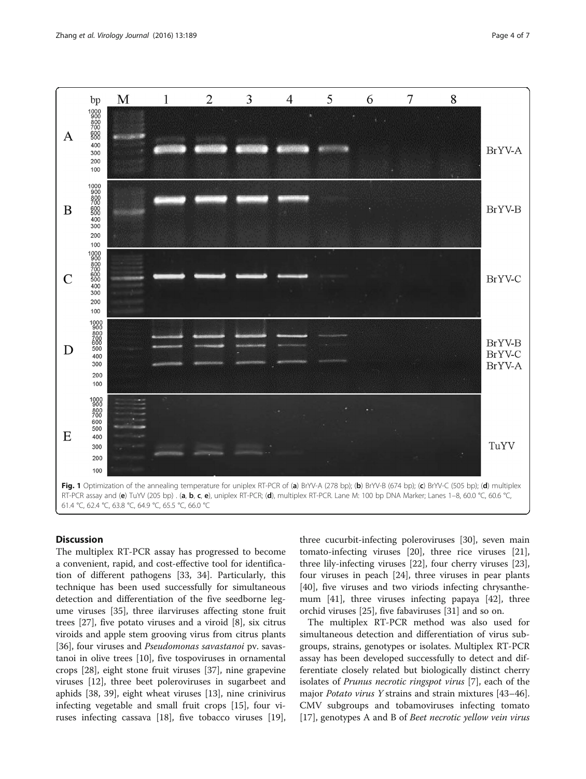<span id="page-3-0"></span>

# **Discussion**

The multiplex RT-PCR assay has progressed to become a convenient, rapid, and cost-effective tool for identification of different pathogens [[33, 34](#page-6-0)]. Particularly, this technique has been used successfully for simultaneous detection and differentiation of the five seedborne legume viruses [\[35](#page-6-0)], three ilarviruses affecting stone fruit trees [\[27\]](#page-6-0), five potato viruses and a viroid [[8\]](#page-6-0), six citrus viroids and apple stem grooving virus from citrus plants [[36\]](#page-6-0), four viruses and *Pseudomonas savastanoi* pv. savastanoi in olive trees [[10](#page-6-0)], five tospoviruses in ornamental crops [[28\]](#page-6-0), eight stone fruit viruses [[37\]](#page-6-0), nine grapevine viruses [[12\]](#page-6-0), three beet poleroviruses in sugarbeet and aphids [\[38, 39\]](#page-6-0), eight wheat viruses [[13](#page-6-0)], nine crinivirus infecting vegetable and small fruit crops [[15\]](#page-6-0), four viruses infecting cassava [[18\]](#page-6-0), five tobacco viruses [\[19](#page-6-0)], three cucurbit-infecting poleroviruses [[30](#page-6-0)], seven main tomato-infecting viruses [[20](#page-6-0)], three rice viruses [\[21](#page-6-0)], three lily-infecting viruses [\[22](#page-6-0)], four cherry viruses [\[23](#page-6-0)], four viruses in peach [\[24](#page-6-0)], three viruses in pear plants [[40\]](#page-6-0), five viruses and two viriods infecting chrysanthemum [[41](#page-6-0)], three viruses infecting papaya [[42](#page-6-0)], three orchid viruses [\[25\]](#page-6-0), five fabaviruses [\[31](#page-6-0)] and so on.

The multiplex RT-PCR method was also used for simultaneous detection and differentiation of virus subgroups, strains, genotypes or isolates. Multiplex RT-PCR assay has been developed successfully to detect and differentiate closely related but biologically distinct cherry isolates of Prunus necrotic ringspot virus [[7\]](#page-6-0), each of the major Potato virus Y strains and strain mixtures [[43](#page-6-0)–[46](#page-6-0)]. CMV subgroups and tobamoviruses infecting tomato [[17\]](#page-6-0), genotypes A and B of Beet necrotic yellow vein virus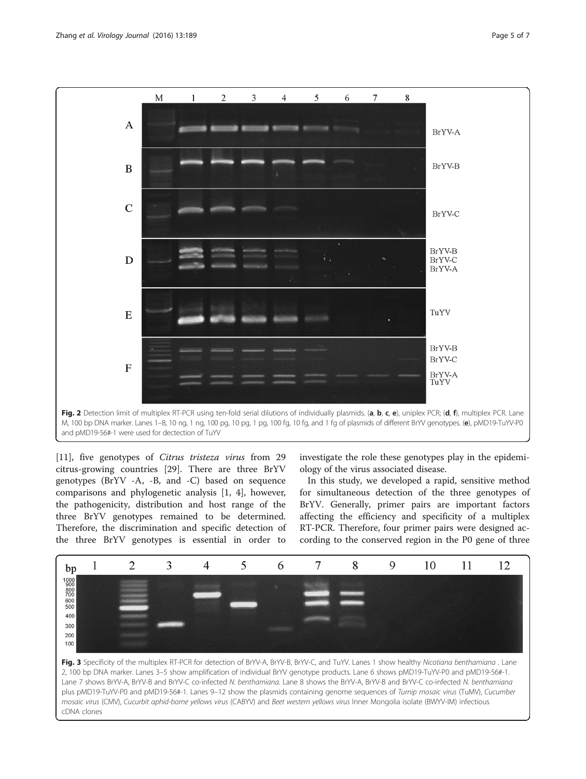<span id="page-4-0"></span>

and pMD19-56#-1 were used for dectection of TuYV

[[11\]](#page-6-0), five genotypes of Citrus tristeza virus from 29 citrus-growing countries [[29\]](#page-6-0). There are three BrYV genotypes (BrYV -A, -B, and -C) based on sequence comparisons and phylogenetic analysis [\[1](#page-5-0), [4\]](#page-6-0), however, the pathogenicity, distribution and host range of the three BrYV genotypes remained to be determined. Therefore, the discrimination and specific detection of the three BrYV genotypes is essential in order to

investigate the role these genotypes play in the epidemiology of the virus associated disease.

In this study, we developed a rapid, sensitive method for simultaneous detection of the three genotypes of BrYV. Generally, primer pairs are important factors affecting the efficiency and specificity of a multiplex RT-PCR. Therefore, four primer pairs were designed according to the conserved region in the P0 gene of three



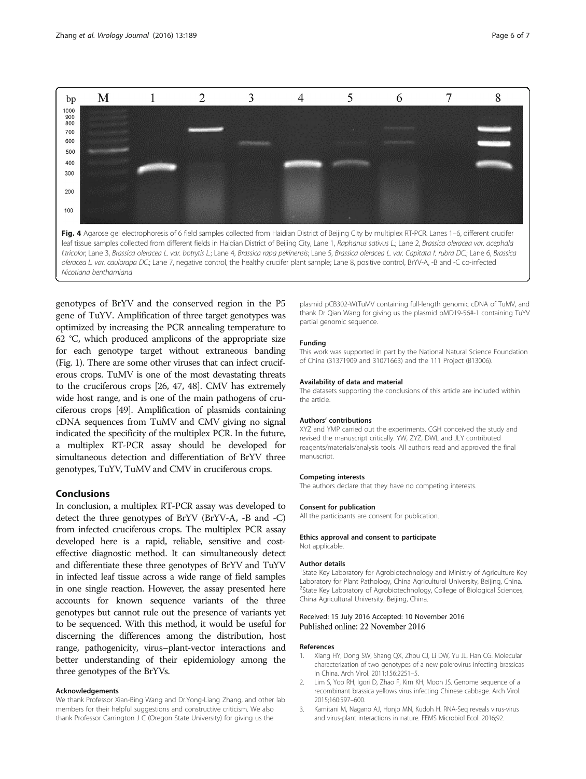<span id="page-5-0"></span>

genotypes of BrYV and the conserved region in the P5 gene of TuYV. Amplification of three target genotypes was optimized by increasing the PCR annealing temperature to 62 °C, which produced amplicons of the appropriate size for each genotype target without extraneous banding (Fig. [1\)](#page-3-0). There are some other viruses that can infect cruciferous crops. TuMV is one of the most devastating threats to the cruciferous crops [\[26, 47](#page-6-0), [48](#page-6-0)]. CMV has extremely wide host range, and is one of the main pathogens of cruciferous crops [[49](#page-6-0)]. Amplification of plasmids containing cDNA sequences from TuMV and CMV giving no signal indicated the specificity of the multiplex PCR. In the future, a multiplex RT-PCR assay should be developed for simultaneous detection and differentiation of BrYV three genotypes, TuYV, TuMV and CMV in cruciferous crops.

# Conclusions

In conclusion, a multiplex RT-PCR assay was developed to detect the three genotypes of BrYV (BrYV-A, -B and -C) from infected cruciferous crops. The multiplex PCR assay developed here is a rapid, reliable, sensitive and costeffective diagnostic method. It can simultaneously detect and differentiate these three genotypes of BrYV and TuYV in infected leaf tissue across a wide range of field samples in one single reaction. However, the assay presented here accounts for known sequence variants of the three genotypes but cannot rule out the presence of variants yet to be sequenced. With this method, it would be useful for discerning the differences among the distribution, host range, pathogenicity, virus–plant-vector interactions and better understanding of their epidemiology among the three genotypes of the BrYVs.

#### Acknowledgements

We thank Professor Xian-Bing Wang and Dr.Yong-Liang Zhang, and other lab members for their helpful suggestions and constructive criticism. We also thank Professor Carrington J C (Oregon State University) for giving us the

plasmid pCB302-WtTuMV containing full-length genomic cDNA of TuMV, and thank Dr Qian Wang for giving us the plasmid pMD19-56#-1 containing TuYV partial genomic sequence.

#### Funding

This work was supported in part by the National Natural Science Foundation of China (31371909 and 31071663) and the 111 Project (B13006).

#### Availability of data and material

The datasets supporting the conclusions of this article are included within the article.

#### Authors' contributions

XYZ and YMP carried out the experiments. CGH conceived the study and revised the manuscript critically. YW, ZYZ, DWL and JLY contributed reagents/materials/analysis tools. All authors read and approved the final manuscript.

#### Competing interests

The authors declare that they have no competing interests.

#### Consent for publication

All the participants are consent for publication.

#### Ethics approval and consent to participate Not applicable.

#### Author details

<sup>1</sup>State Key Laboratory for Agrobiotechnology and Ministry of Agriculture Key Laboratory for Plant Pathology, China Agricultural University, Beijing, China. <sup>2</sup>State Key Laboratory of Agrobiotechnology, College of Biological Sciences, China Agricultural University, Beijing, China.

#### Received: 15 July 2016 Accepted: 10 November 2016 Published online: 22 November 2016

#### References

- 1. Xiang HY, Dong SW, Shang QX, Zhou CJ, Li DW, Yu JL, Han CG. Molecular characterization of two genotypes of a new polerovirus infecting brassicas in China. Arch Virol. 2011;156:2251–5.
- 2. Lim S, Yoo RH, Igori D, Zhao F, Kim KH, Moon JS. Genome sequence of a recombinant brassica yellows virus infecting Chinese cabbage. Arch Virol. 2015;160:597–600.
- 3. Kamitani M, Nagano AJ, Honjo MN, Kudoh H. RNA-Seq reveals virus-virus and virus-plant interactions in nature. FEMS Microbiol Ecol. 2016;92.